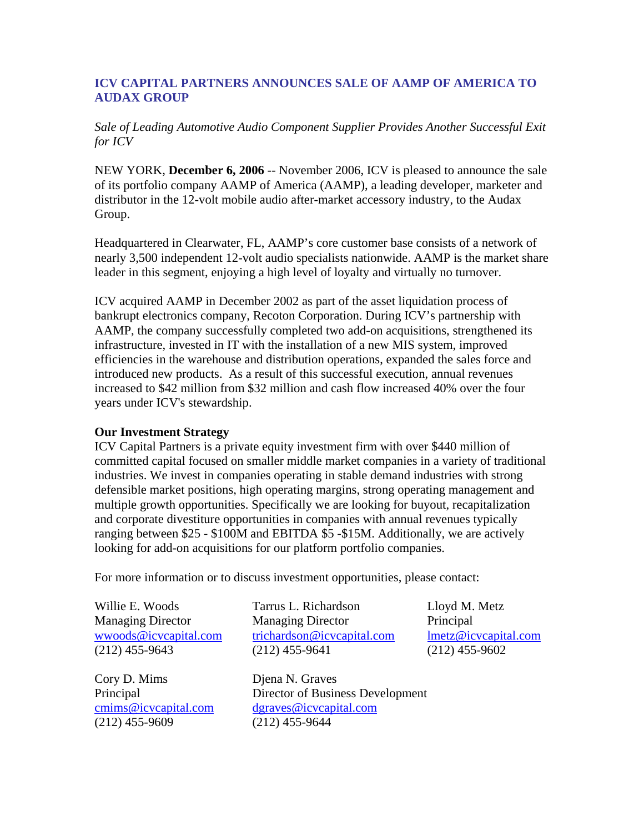## **ICV CAPITAL PARTNERS ANNOUNCES SALE OF AAMP OF AMERICA TO AUDAX GROUP**

*Sale of Leading Automotive Audio Component Supplier Provides Another Successful Exit for ICV*

NEW YORK, **December 6, 2006** -- November 2006, ICV is pleased to announce the sale of its portfolio company AAMP of America (AAMP), a leading developer, marketer and distributor in the 12-volt mobile audio after-market accessory industry, to the Audax Group.

Headquartered in Clearwater, FL, AAMP's core customer base consists of a network of nearly 3,500 independent 12-volt audio specialists nationwide. AAMP is the market share leader in this segment, enjoying a high level of loyalty and virtually no turnover.

ICV acquired AAMP in December 2002 as part of the asset liquidation process of bankrupt electronics company, Recoton Corporation. During ICV's partnership with AAMP, the company successfully completed two add-on acquisitions, strengthened its infrastructure, invested in IT with the installation of a new MIS system, improved efficiencies in the warehouse and distribution operations, expanded the sales force and introduced new products. As a result of this successful execution, annual revenues increased to \$42 million from \$32 million and cash flow increased 40% over the four years under ICV's stewardship.

## **Our Investment Strategy**

ICV Capital Partners is a private equity investment firm with over \$440 million of committed capital focused on smaller middle market companies in a variety of traditional industries. We invest in companies operating in stable demand industries with strong defensible market positions, high operating margins, strong operating management and multiple growth opportunities. Specifically we are looking for buyout, recapitalization and corporate divestiture opportunities in companies with annual revenues typically ranging between \$25 - \$100M and EBITDA \$5 -\$15M. Additionally, we are actively looking for add-on acquisitions for our platform portfolio companies.

For more information or to discuss investment opportunities, please contact:

Willie E. Woods Managing Director wwoods@icvcapital.com (212) 455-9643

Cory D. Mims Principal cmims@icvcapital.com (212) 455-9609

Tarrus L. Richardson Managing Director trichardson@icvcapital.com (212) 455-9641

Djena N. Graves Director of Business Development dgraves@icvcapital.com (212) 455-9644

Lloyd M. Metz Principal lmetz@icvcapital.com (212) 455-9602